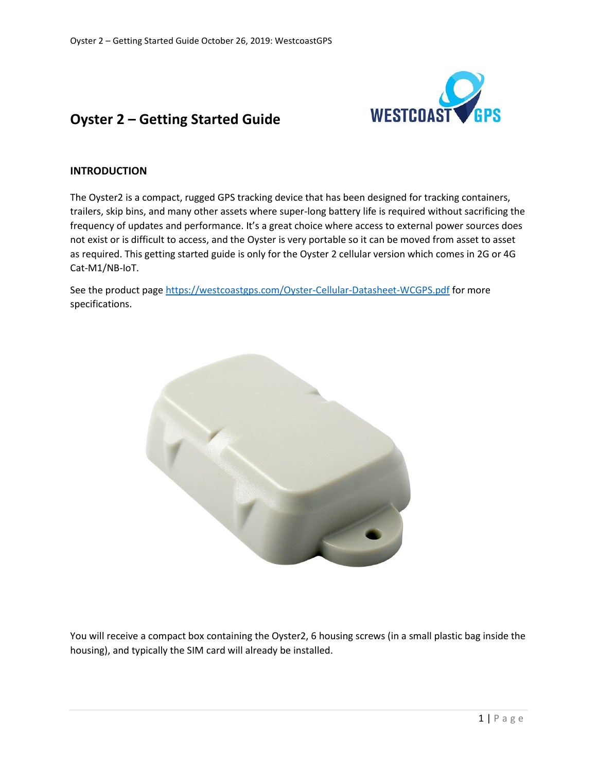

# **Oyster 2 – Getting Started Guide**

## **INTRODUCTION**

The Oyster2 is a compact, rugged GPS tracking device that has been designed for tracking containers, trailers, skip bins, and many other assets where super-long battery life is required without sacrificing the frequency of updates and performance. It's a great choice where access to external power sources does not exist or is difficult to access, and the Oyster is very portable so it can be moved from asset to asset as required. This getting started guide is only for the Oyster 2 cellular version which comes in 2G or 4G Cat-M1/NB-IoT.

See the product page<https://westcoastgps.com/Oyster-Cellular-Datasheet-WCGPS.pdf> for more specifications.



You will receive a compact box containing the Oyster2, 6 housing screws (in a small plastic bag inside the housing), and typically the SIM card will already be installed.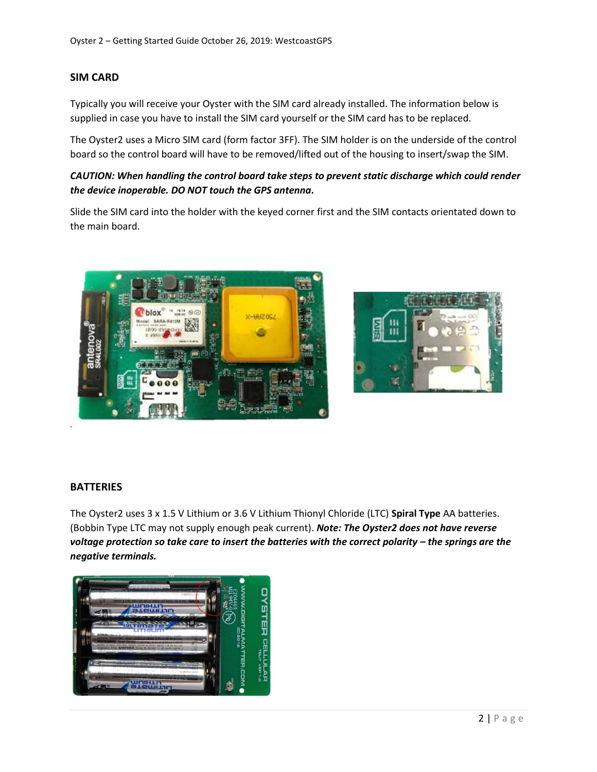## **SIM CARD**

Typically you will receive your Oyster with the SIM card already installed. The information below is supplied in case you have to install the SIM card yourself or the SIM card has to be replaced.

The Oyster2 uses a Micro SIM card (form factor 3FF). The SIM holder is on the underside of the control board so the control board will have to be removed/lifted out of the housing to insert/swap the SIM.

## *CAUTION: When handling the control board take steps to prevent static discharge which could render the device inoperable. DO NOT touch the GPS antenna.*

Slide the SIM card into the holder with the keyed corner first and the SIM contacts orientated down to the main board.





#### **BATTERIES**

The Oyster2 uses 3 x 1.5 V Lithium or 3.6 V Lithium Thionyl Chloride (LTC) **Spiral Type** AA batteries. (Bobbin Type LTC may not supply enough peak current). *Note: The Oyster2 does not have reverse voltage protection so take care to insert the batteries with the correct polarity – the springs are the negative terminals.*

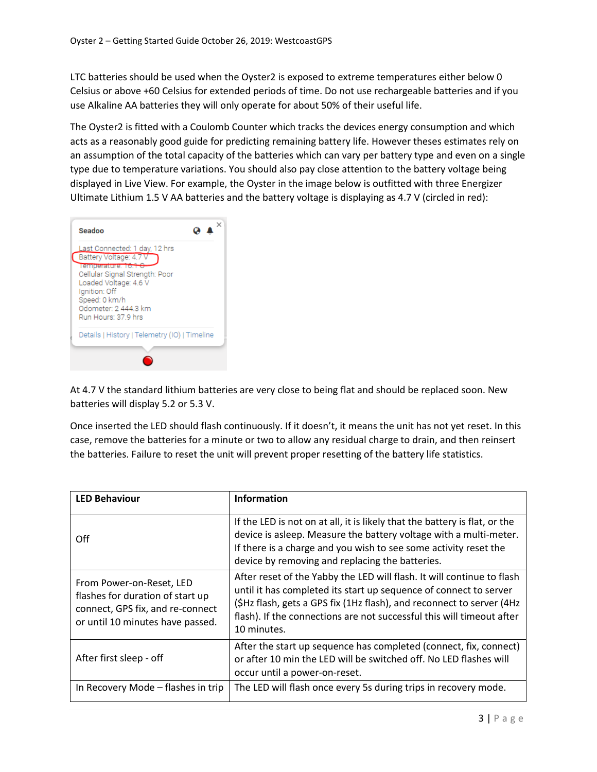LTC batteries should be used when the Oyster2 is exposed to extreme temperatures either below 0 Celsius or above +60 Celsius for extended periods of time. Do not use rechargeable batteries and if you use Alkaline AA batteries they will only operate for about 50% of their useful life.

The Oyster2 is fitted with a Coulomb Counter which tracks the devices energy consumption and which acts as a reasonably good guide for predicting remaining battery life. However theses estimates rely on an assumption of the total capacity of the batteries which can vary per battery type and even on a single type due to temperature variations. You should also pay close attention to the battery voltage being displayed in Live View. For example, the Oyster in the image below is outfitted with three Energizer Ultimate Lithium 1.5 V AA batteries and the battery voltage is displaying as 4.7 V (circled in red):



At 4.7 V the standard lithium batteries are very close to being flat and should be replaced soon. New batteries will display 5.2 or 5.3 V.

Once inserted the LED should flash continuously. If it doesn't, it means the unit has not yet reset. In this case, remove the batteries for a minute or two to allow any residual charge to drain, and then reinsert the batteries. Failure to reset the unit will prevent proper resetting of the battery life statistics.

| <b>LED Behaviour</b>                                                                                                                 | <b>Information</b>                                                                                                                                                                                                                                                                                           |
|--------------------------------------------------------------------------------------------------------------------------------------|--------------------------------------------------------------------------------------------------------------------------------------------------------------------------------------------------------------------------------------------------------------------------------------------------------------|
| Off                                                                                                                                  | If the LED is not on at all, it is likely that the battery is flat, or the<br>device is asleep. Measure the battery voltage with a multi-meter.<br>If there is a charge and you wish to see some activity reset the<br>device by removing and replacing the batteries.                                       |
| From Power-on-Reset, LED<br>flashes for duration of start up<br>connect, GPS fix, and re-connect<br>or until 10 minutes have passed. | After reset of the Yabby the LED will flash. It will continue to flash<br>until it has completed its start up sequence of connect to server<br>(\$Hz flash, gets a GPS fix (1Hz flash), and reconnect to server (4Hz<br>flash). If the connections are not successful this will timeout after<br>10 minutes. |
| After first sleep - off                                                                                                              | After the start up sequence has completed (connect, fix, connect)<br>or after 10 min the LED will be switched off. No LED flashes will<br>occur until a power-on-reset.                                                                                                                                      |
| In Recovery Mode - flashes in trip                                                                                                   | The LED will flash once every 5s during trips in recovery mode.                                                                                                                                                                                                                                              |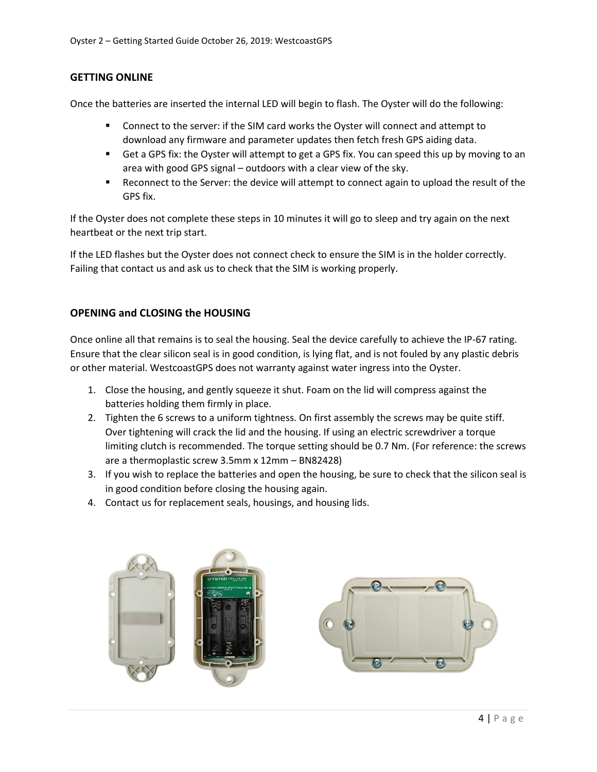#### **GETTING ONLINE**

Once the batteries are inserted the internal LED will begin to flash. The Oyster will do the following:

- Connect to the server: if the SIM card works the Oyster will connect and attempt to download any firmware and parameter updates then fetch fresh GPS aiding data.
- Get a GPS fix: the Oyster will attempt to get a GPS fix. You can speed this up by moving to an area with good GPS signal – outdoors with a clear view of the sky.
- Reconnect to the Server: the device will attempt to connect again to upload the result of the GPS fix.

If the Oyster does not complete these steps in 10 minutes it will go to sleep and try again on the next heartbeat or the next trip start.

If the LED flashes but the Oyster does not connect check to ensure the SIM is in the holder correctly. Failing that contact us and ask us to check that the SIM is working properly.

#### **OPENING and CLOSING the HOUSING**

Once online all that remains is to seal the housing. Seal the device carefully to achieve the IP-67 rating. Ensure that the clear silicon seal is in good condition, is lying flat, and is not fouled by any plastic debris or other material. WestcoastGPS does not warranty against water ingress into the Oyster.

- 1. Close the housing, and gently squeeze it shut. Foam on the lid will compress against the batteries holding them firmly in place.
- 2. Tighten the 6 screws to a uniform tightness. On first assembly the screws may be quite stiff. Over tightening will crack the lid and the housing. If using an electric screwdriver a torque limiting clutch is recommended. The torque setting should be 0.7 Nm. (For reference: the screws are a thermoplastic screw 3.5mm x 12mm – BN82428)
- 3. If you wish to replace the batteries and open the housing, be sure to check that the silicon seal is in good condition before closing the housing again.
- 4. Contact us for replacement seals, housings, and housing lids.

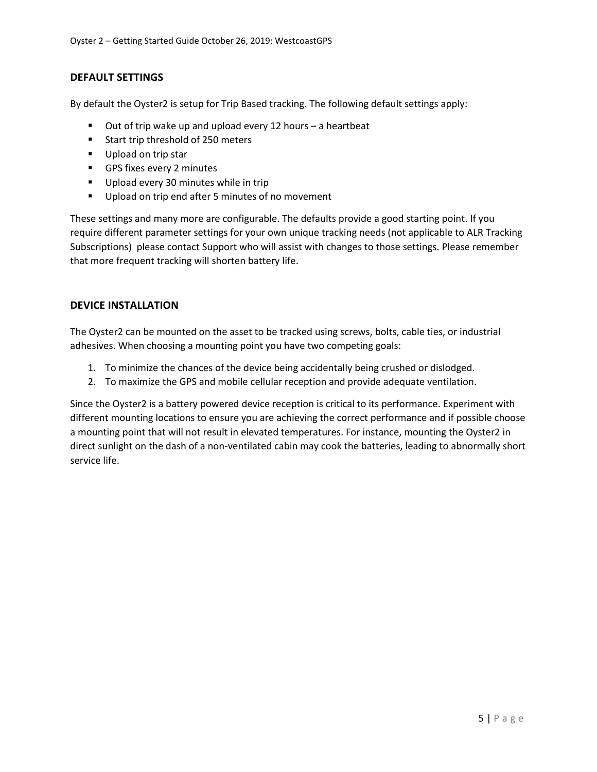#### **DEFAULT SETTINGS**

By default the Oyster2 is setup for Trip Based tracking. The following default settings apply:

- Out of trip wake up and upload every 12 hours a heartbeat
- Start trip threshold of 250 meters
- Upload on trip star
- **•** GPS fixes every 2 minutes
- Upload every 30 minutes while in trip
- Upload on trip end after 5 minutes of no movement

These settings and many more are configurable. The defaults provide a good starting point. If you require different parameter settings for your own unique tracking needs (not applicable to ALR Tracking Subscriptions) please contact Support who will assist with changes to those settings. Please remember that more frequent tracking will shorten battery life.

#### **DEVICE INSTALLATION**

The Oyster2 can be mounted on the asset to be tracked using screws, bolts, cable ties, or industrial adhesives. When choosing a mounting point you have two competing goals:

- 1. To minimize the chances of the device being accidentally being crushed or dislodged.
- 2. To maximize the GPS and mobile cellular reception and provide adequate ventilation.

Since the Oyster2 is a battery powered device reception is critical to its performance. Experiment with different mounting locations to ensure you are achieving the correct performance and if possible choose a mounting point that will not result in elevated temperatures. For instance, mounting the Oyster2 in direct sunlight on the dash of a non-ventilated cabin may cook the batteries, leading to abnormally short service life.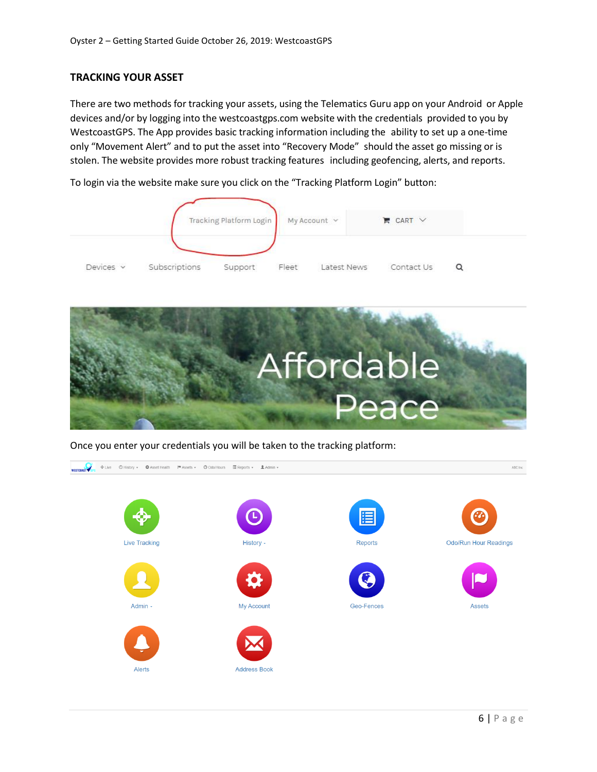#### **TRACKING YOUR ASSET**

There are two methods for tracking your assets, using the Telematics Guru app on your Android or Apple devices and/or by logging into the westcoastgps.com website with the credentials provided to you by WestcoastGPS. The App provides basic tracking information including the ability to set up a one-time only "Movement Alert" and to put the asset into "Recovery Mode" should the asset go missing or is stolen. The website provides more robust tracking features including geofencing, alerts, and reports.

To login via the website make sure you click on the "Tracking Platform Login" button:





Once you enter your credentials you will be taken to the tracking platform:

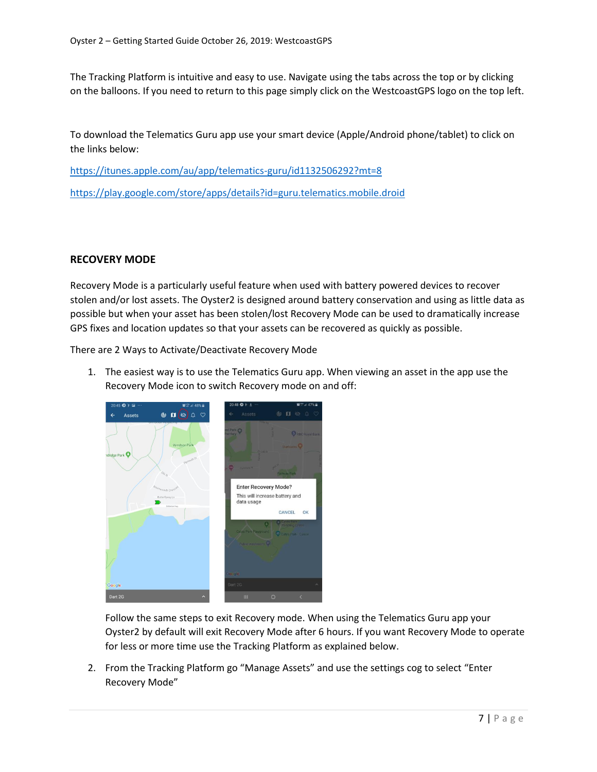The Tracking Platform is intuitive and easy to use. Navigate using the tabs across the top or by clicking on the balloons. If you need to return to this page simply click on the WestcoastGPS logo on the top left.

To download the Telematics Guru app use your smart device (Apple/Android phone/tablet) to click on the links below:

<https://itunes.apple.com/au/app/telematics-guru/id1132506292?mt=8>

<https://play.google.com/store/apps/details?id=guru.telematics.mobile.droid>

#### **RECOVERY MODE**

Recovery Mode is a particularly useful feature when used with battery powered devices to recover stolen and/or lost assets. The Oyster2 is designed around battery conservation and using as little data as possible but when your asset has been stolen/lost Recovery Mode can be used to dramatically increase GPS fixes and location updates so that your assets can be recovered as quickly as possible.

There are 2 Ways to Activate/Deactivate Recovery Mode

1. The easiest way is to use the Telematics Guru app. When viewing an asset in the app use the Recovery Mode icon to switch Recovery mode on and off:



Follow the same steps to exit Recovery mode. When using the Telematics Guru app your Oyster2 by default will exit Recovery Mode after 6 hours. If you want Recovery Mode to operate for less or more time use the Tracking Platform as explained below.

2. From the Tracking Platform go "Manage Assets" and use the settings cog to select "Enter Recovery Mode"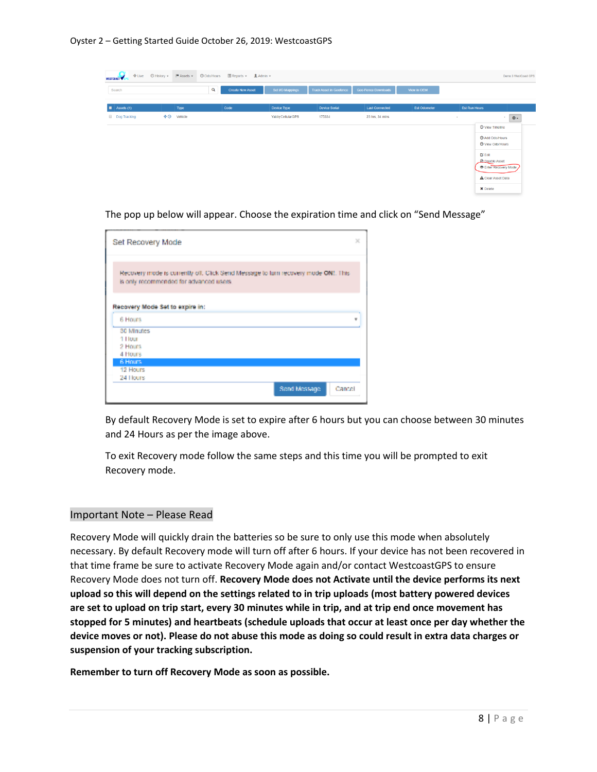| <b>I</b> Live<br>WESTCOAST | ⊙ History ▼<br>$M$ Assets $\star$ | <b>El Reports - LAdmin -</b><br>© Odo/Hours |                  |                                |                       |                     |                                       | Demo 3 WestCoast GPS |
|----------------------------|-----------------------------------|---------------------------------------------|------------------|--------------------------------|-----------------------|---------------------|---------------------------------------|----------------------|
| Search                     |                                   | Q<br><b>Create New Asset</b>                | Set I/O Mappings | <b>Track Asset in Geofence</b> | Geo-Fence Downloads   | View in OEM         |                                       |                      |
| $\blacksquare$ Assets (1)  | Type                              | Code                                        | Device Type      | <b>Device Serial</b>           | <b>Last Connected</b> | <b>Est Odometer</b> | <b>Est Run Hours</b>                  |                      |
| <b>Dog Tracking</b>        | $+0$<br>Vehicle                   |                                             | YabbyCellularGPS | 175334                         | 23 hrs, 34 mins       |                     | <b>1999</b>                           | 春~<br>$\sim$         |
|                            |                                   |                                             |                  |                                |                       |                     | <b>O</b> View Timeline                |                      |
|                            |                                   |                                             |                  |                                |                       |                     | Add Odo/Hours<br>O View Odo/Hours     |                      |
|                            |                                   |                                             |                  |                                |                       |                     | $G$ Edit<br><b>OD</b> Disable Asset   |                      |
|                            |                                   |                                             |                  |                                |                       |                     | Enter Recovery Mode                   |                      |
|                            |                                   |                                             |                  |                                |                       |                     | <b>A</b> Clear Asset Data<br>X Delete |                      |

× Set Recovery Mode Recovery mode is currently oil. Click Send Message to turn recovery mode ONI. This is only recommended for advanced users. Recovery Mode Set to expire in: 6 Hours ¥ 30 Minutes 1 Hour 2 Hours 4 Hours 6 Hour 12 Hours 24 Hours Sond Mossage Cancel

The pop up below will appear. Choose the expiration time and click on "Send Message"

By default Recovery Mode is set to expire after 6 hours but you can choose between 30 minutes and 24 Hours as per the image above.

To exit Recovery mode follow the same steps and this time you will be prompted to exit Recovery mode.

#### Important Note – Please Read

Recovery Mode will quickly drain the batteries so be sure to only use this mode when absolutely necessary. By default Recovery mode will turn off after 6 hours. If your device has not been recovered in that time frame be sure to activate Recovery Mode again and/or contact WestcoastGPS to ensure Recovery Mode does not turn off. **Recovery Mode does not Activate until the device performs its next upload so this will depend on the settings related to in trip uploads (most battery powered devices are set to upload on trip start, every 30 minutes while in trip, and at trip end once movement has stopped for 5 minutes) and heartbeats (schedule uploads that occur at least once per day whether the device moves or not). Please do not abuse this mode as doing so could result in extra data charges or suspension of your tracking subscription.**

**Remember to turn off Recovery Mode as soon as possible.**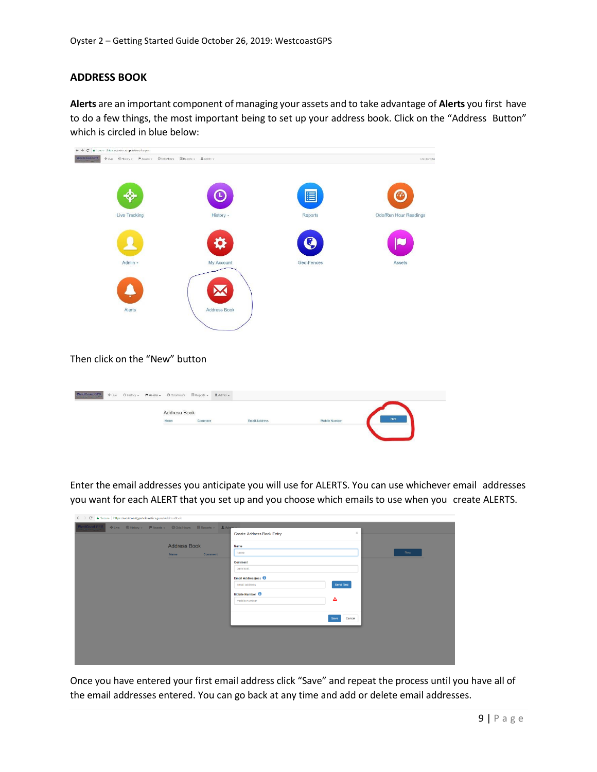#### **ADDRESS BOOK**

**Alerts** are an important component of managing your assets and to take advantage of **Alerts** you first have to do a few things, the most important being to set up your address book. Click on the "Address Button" which is circled in blue below:



#### Then click on the "New" button

| $\textbf{WestConst}$ GPS $_{\rm{c}}$ | + Live © History - M Assets - © Odo/Hours El Reports - LAdmin - |              |           |                      |               |     |
|--------------------------------------|-----------------------------------------------------------------|--------------|-----------|----------------------|---------------|-----|
|                                      |                                                                 | Address Book |           |                      |               | Now |
|                                      |                                                                 | Name         | $Comment$ | <b>Email Address</b> | Mobile Number |     |
|                                      |                                                                 |              |           |                      |               |     |

Enter the email addresses you anticipate you will use for ALERTS. You can use whichever email addresses you want for each ALERT that you set up and you choose which emails to use when you create ALERTS.

| ← → C  a Secure   https://westcoastgps.telematics.guru/AddressBook |                                                              |                            |                |     |
|--------------------------------------------------------------------|--------------------------------------------------------------|----------------------------|----------------|-----|
| WestCoast GPS                                                      | ◆Live © History → M Assets → © Odo/Hours 图 Reports → L Admin |                            | $\mathcal{H}$  |     |
|                                                                    |                                                              | Create Address Book Entry  |                |     |
|                                                                    | <b>Address Book</b>                                          | Name                       |                |     |
|                                                                    | <b>Name</b><br>Comment                                       | hame                       |                | Now |
|                                                                    |                                                              | Comment                    |                |     |
|                                                                    |                                                              | comment                    |                |     |
|                                                                    |                                                              | Email Address(es)          |                |     |
|                                                                    |                                                              | email address              | Send Test      |     |
|                                                                    |                                                              | Mobile Number <sup>6</sup> |                |     |
|                                                                    |                                                              | mobile number              | ◬              |     |
|                                                                    |                                                              |                            |                |     |
|                                                                    |                                                              |                            | Cancel<br>Save |     |
|                                                                    |                                                              |                            |                |     |
|                                                                    |                                                              |                            |                |     |
|                                                                    |                                                              |                            |                |     |
|                                                                    |                                                              |                            |                |     |
|                                                                    |                                                              |                            |                |     |

Once you have entered your first email address click "Save" and repeat the process until you have all of the email addresses entered. You can go back at any time and add or delete email addresses.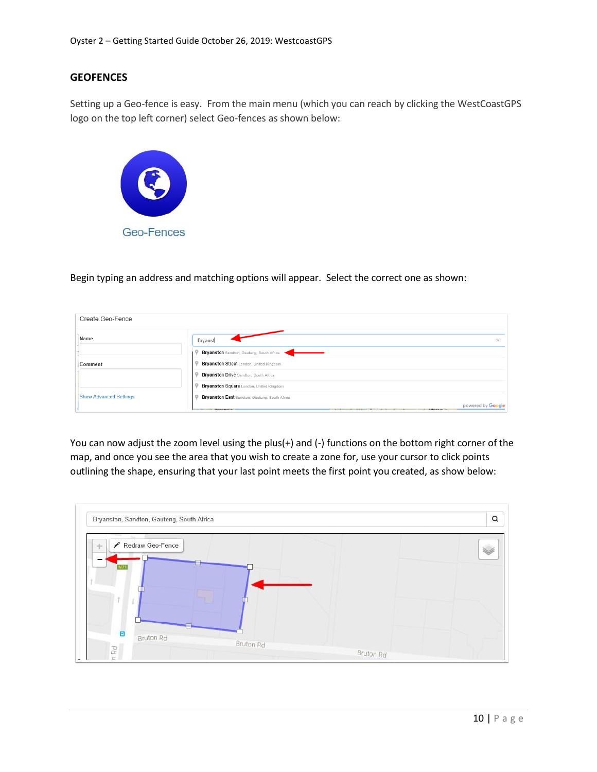#### **GEOFENCES**

Setting up a Geo-fence is easy. From the main menu (which you can reach by clicking the WestCoastGPS logo on the top left corner) select Geo-fences as shown below:



Begin typing an address and matching options will appear. Select the correct one as shown:

| Create Geo-Fence              |                                                                         |  |
|-------------------------------|-------------------------------------------------------------------------|--|
| Name                          | Bryanst<br>×                                                            |  |
|                               | Bryanston Sandton, Gauteng, South Africa                                |  |
| Comment                       | Bryanston Street London, United Kingdom                                 |  |
|                               | <b>Bryanston Drive Sandton, South Africa</b>                            |  |
|                               | Bryanston Square London, United Kingdom                                 |  |
| <b>Show Advanced Settings</b> | <b>Bryanston East Sandton, Gauteng, South Africa</b>                    |  |
|                               | powered by Google<br><b>Manazinala</b><br><b>STATISTICS</b><br>Ethiopia |  |

You can now adjust the zoom level using the plus(+) and (-) functions on the bottom right corner of the map, and once you see the area that you wish to create a zone for, use your cursor to click points outlining the shape, ensuring that your last point meets the first point you created, as show below:

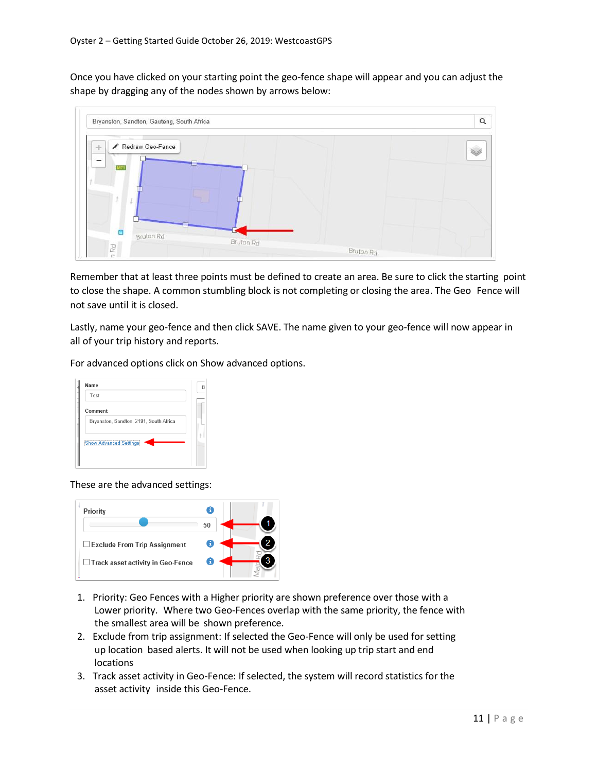Once you have clicked on your starting point the geo-fence shape will appear and you can adjust the shape by dragging any of the nodes shown by arrows below:



Remember that at least three points must be defined to create an area. Be sure to click the starting point to close the shape. A common stumbling block is not completing or closing the area. The Geo Fence will not save until it is closed.

Lastly, name your geo-fence and then click SAVE. The name given to your geo-fence will now appear in all of your trip history and reports.

For advanced options click on Show advanced options.

| Name                                   | R |
|----------------------------------------|---|
| Test                                   |   |
| Comment                                |   |
| Bryanston, Sandton, 2191, South Africa |   |
| <b>Show Advanced Settings</b>          |   |
|                                        |   |

These are the advanced settings:



- 1. Priority: Geo Fences with a Higher priority are shown preference over those with a Lower priority. Where two Geo-Fences overlap with the same priority, the fence with the smallest area will be shown preference.
- 2. Exclude from trip assignment: If selected the Geo-Fence will only be used for setting up location based alerts. It will not be used when looking up trip start and end **locations**
- 3. Track asset activity in Geo-Fence: If selected, the system will record statistics for the asset activity inside this Geo-Fence.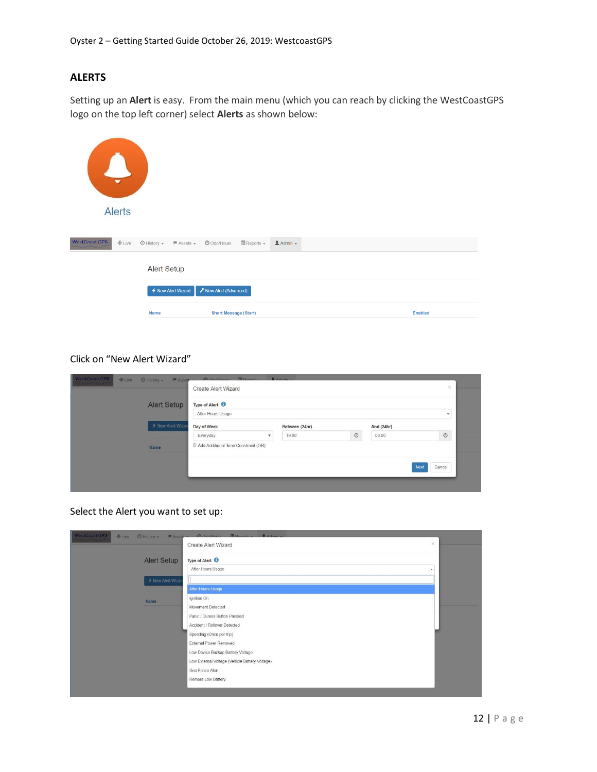## **ALERTS**

Setting up an **Alert** is easy. From the main menu (which you can reach by clicking the WestCoastGPS logo on the top left corner) select **Alerts** as shown below:

| $\mathbf{L}$<br>$\overline{\phantom{0}}$<br><b>Alerts</b> |                                                                     |                                                             |                  |                |
|-----------------------------------------------------------|---------------------------------------------------------------------|-------------------------------------------------------------|------------------|----------------|
| WestCoast GPS<br>$E =$                                    | $\bigcirc$ History $\bullet$ $\qquad \blacksquare$ Assets $\bullet$ | $\blacksquare$ Reports $\blacktriangleright$<br>O Odo/Hours | $A$ Admin $\sim$ |                |
|                                                           | <b>Alert Setup</b>                                                  |                                                             |                  |                |
|                                                           | ← New Alert Wizard                                                  | F New Alert (Advanced)                                      |                  |                |
|                                                           | <b>Name</b>                                                         | <b>Short Message (Start)</b>                                |                  | <b>Enabled</b> |

#### Click on "New Alert Wizard"

| <b>Alert Setup</b> | Type of Alert <sup>6</sup><br>After Hours Usage |                |         |            | $\star$        |
|--------------------|-------------------------------------------------|----------------|---------|------------|----------------|
| ← New Alert Wizar  | Day of Week                                     | Between (24hr) |         | And (24hr) |                |
|                    | Everyday                                        | 19:00          | $\odot$ | 06:00      | $\circ$        |
| Name               | Add Additional Time Constraint (OR)             |                |         |            |                |
|                    |                                                 |                |         |            | Cancel<br>Next |

Select the Alert you want to set up:

| Type of Alert <sup>O</sup><br><b>Alert Setup</b><br>After Hours Usage<br>← New Alert Wizard<br>After Hours Usage<br>Ignition On<br>Name<br>Movement Detected<br>Panic / Duress Button Pressed<br>Accident / Rollover Detected<br>Speeding (Once per trip)<br>External Power Removed<br>Low Device Backup Battery Voltage | WestCoast GPS<br>$+$ Live<br>© History +<br>$M$ Asset $-$ | A OdolHours ED ponetts _ B Admin<br>$>\,$<br><b>Create Alert Wizard</b> |
|--------------------------------------------------------------------------------------------------------------------------------------------------------------------------------------------------------------------------------------------------------------------------------------------------------------------------|-----------------------------------------------------------|-------------------------------------------------------------------------|
|                                                                                                                                                                                                                                                                                                                          |                                                           |                                                                         |
|                                                                                                                                                                                                                                                                                                                          |                                                           |                                                                         |
|                                                                                                                                                                                                                                                                                                                          |                                                           |                                                                         |
|                                                                                                                                                                                                                                                                                                                          |                                                           |                                                                         |
|                                                                                                                                                                                                                                                                                                                          |                                                           |                                                                         |
|                                                                                                                                                                                                                                                                                                                          |                                                           |                                                                         |
|                                                                                                                                                                                                                                                                                                                          |                                                           |                                                                         |
|                                                                                                                                                                                                                                                                                                                          |                                                           |                                                                         |
|                                                                                                                                                                                                                                                                                                                          |                                                           |                                                                         |
|                                                                                                                                                                                                                                                                                                                          |                                                           |                                                                         |
|                                                                                                                                                                                                                                                                                                                          |                                                           |                                                                         |
| Low External Voltage (Vehicle Battery Voltage)                                                                                                                                                                                                                                                                           |                                                           |                                                                         |
| Geo Fence Alert                                                                                                                                                                                                                                                                                                          |                                                           |                                                                         |
| Remora Low Battery                                                                                                                                                                                                                                                                                                       |                                                           |                                                                         |
|                                                                                                                                                                                                                                                                                                                          |                                                           |                                                                         |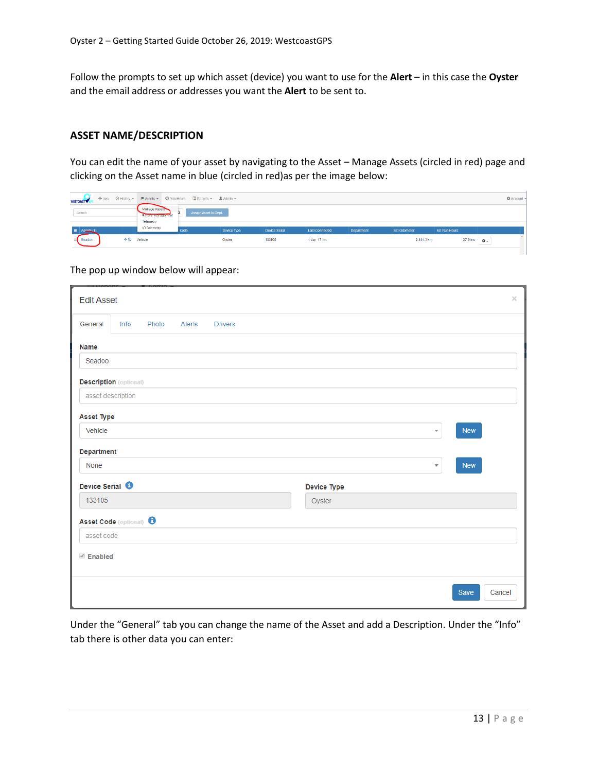Follow the prompts to set up which asset (device) you want to use for the **Alert** – in this case the **Oyster** and the email address or addresses you want the **Alert** to be sent to.

#### **ASSET NAME/DESCRIPTION**

You can edit the name of your asset by navigating to the Asset – Manage Assets (circled in red) page and clicking on the Asset name in blue (circled in red)as per the image below:

| <b>WESTCOAST</b>    |                                                  | ◆Live ⊙ History >     # Assets > © Odo/Hours   II] Reports > ± Admin > |             |               |                |            |              |               |                                | <b>C</b> Account |
|---------------------|--------------------------------------------------|------------------------------------------------------------------------|-------------|---------------|----------------|------------|--------------|---------------|--------------------------------|------------------|
| Search              | Manage Assets<br>Эбнокуплынын канон<br>Telemetry | Assign Asset to Dept.                                                  |             |               |                |            |              |               |                                |                  |
| <b>E</b> Assets (1) | <b>IO Telemetry</b>                              | Code                                                                   | Device Type | Device Serial | Last Connected | Department | Est Odometer | Est Run Hours |                                |                  |
| Seadoo              | $\triangleq$ <sup>O</sup> Vehicle                |                                                                        | Oyster      | 133106        | 1 day, 17 hrs  |            | 2444.3 km    |               | $\ddot{o}$<br>37.9 hrs<br>____ |                  |
|                     |                                                  |                                                                        |             |               |                |            |              |               |                                |                  |

#### The pop up window below will appear:

| <b>Edit Asset</b>                  |      |       |        |                |  |             |  |                         |            | $\times$ |
|------------------------------------|------|-------|--------|----------------|--|-------------|--|-------------------------|------------|----------|
| General                            | Info | Photo | Alerts | <b>Drivers</b> |  |             |  |                         |            |          |
| <b>Name</b>                        |      |       |        |                |  |             |  |                         |            |          |
| Seadoo                             |      |       |        |                |  |             |  |                         |            |          |
| <b>Description</b> (optional)      |      |       |        |                |  |             |  |                         |            |          |
| asset description                  |      |       |        |                |  |             |  |                         |            |          |
| <b>Asset Type</b>                  |      |       |        |                |  |             |  |                         |            |          |
| Vehicle                            |      |       |        |                |  |             |  | $\overline{\mathbf v}$  | <b>New</b> |          |
| <b>Department</b>                  |      |       |        |                |  |             |  |                         |            |          |
| None                               |      |       |        |                |  |             |  | $\overline{\mathbf{v}}$ | <b>New</b> |          |
| Device Serial <sup>6</sup>         |      |       |        |                |  | Device Type |  |                         |            |          |
| 133105                             |      |       |        |                |  | Oyster      |  |                         |            |          |
| Asset Code (optional) <sup>6</sup> |      |       |        |                |  |             |  |                         |            |          |
| asset code                         |      |       |        |                |  |             |  |                         |            |          |
| <b><i>√</i></b> Enabled            |      |       |        |                |  |             |  |                         |            |          |
|                                    |      |       |        |                |  |             |  |                         |            |          |
|                                    |      |       |        |                |  |             |  |                         | Save       | Cancel   |

Under the "General" tab you can change the name of the Asset and add a Description. Under the "Info" tab there is other data you can enter: